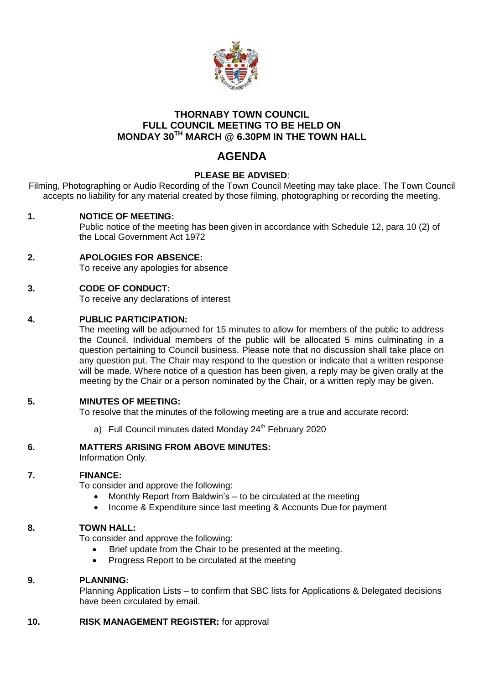

## **THORNABY TOWN COUNCIL FULL COUNCIL MEETING TO BE HELD ON MONDAY 30TH MARCH @ 6.30PM IN THE TOWN HALL**

# **AGENDA**

## **PLEASE BE ADVISED**:

Filming, Photographing or Audio Recording of the Town Council Meeting may take place. The Town Council accepts no liability for any material created by those filming, photographing or recording the meeting.

## **1. NOTICE OF MEETING:**

Public notice of the meeting has been given in accordance with Schedule 12, para 10 (2) of the Local Government Act 1972

### **2. APOLOGIES FOR ABSENCE:**

To receive any apologies for absence

## **3. CODE OF CONDUCT:**

To receive any declarations of interest

## **4. PUBLIC PARTICIPATION:**

The meeting will be adjourned for 15 minutes to allow for members of the public to address the Council. Individual members of the public will be allocated 5 mins culminating in a question pertaining to Council business. Please note that no discussion shall take place on any question put. The Chair may respond to the question or indicate that a written response will be made. Where notice of a question has been given, a reply may be given orally at the meeting by the Chair or a person nominated by the Chair, or a written reply may be given.

#### **5. MINUTES OF MEETING:**

To resolve that the minutes of the following meeting are a true and accurate record:

a) Full Council minutes dated Monday  $24<sup>th</sup>$  February 2020

#### **6. MATTERS ARISING FROM ABOVE MINUTES:**

Information Only.

### **7. FINANCE:**

To consider and approve the following:

- Monthly Report from Baldwin's to be circulated at the meeting
- Income & Expenditure since last meeting & Accounts Due for payment

#### **8. TOWN HALL:**

To consider and approve the following:

- Brief update from the Chair to be presented at the meeting.
- Progress Report to be circulated at the meeting

#### **9. PLANNING:**

Planning Application Lists – to confirm that SBC lists for Applications & Delegated decisions have been circulated by email.

#### **10. RISK MANAGEMENT REGISTER:** for approval